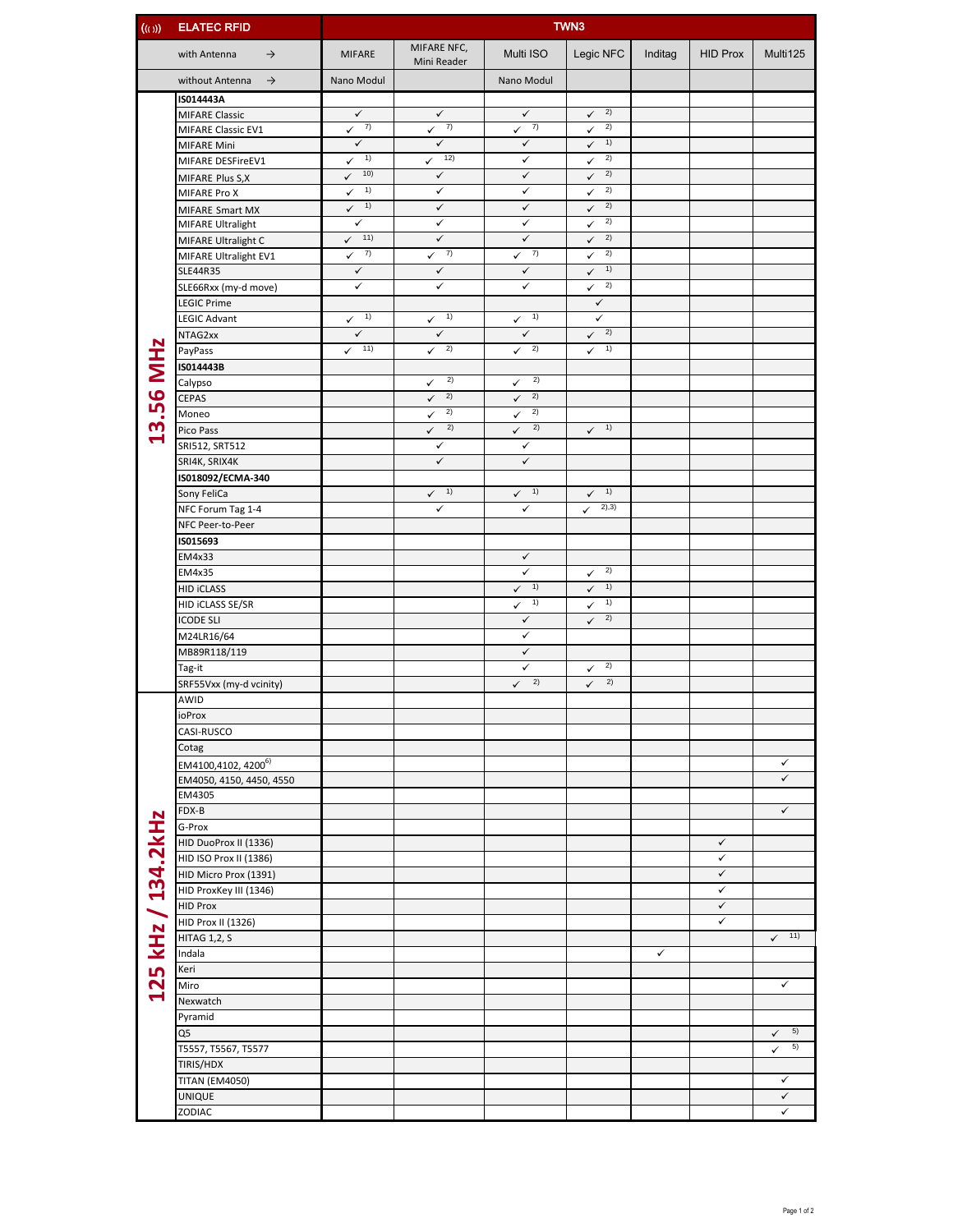| ((s))              | <b>ELATEC RFID</b>               | <b>TWN3</b>                         |                              |                              |                            |         |                 |                     |  |  |  |
|--------------------|----------------------------------|-------------------------------------|------------------------------|------------------------------|----------------------------|---------|-----------------|---------------------|--|--|--|
|                    | with Antenna<br>$\rightarrow$    | <b>MIFARE</b>                       | MIFARE NFC,<br>Mini Reader   | Multi ISO                    | Legic NFC                  | Inditag | <b>HID Prox</b> | Multi125            |  |  |  |
|                    | without Antenna<br>$\rightarrow$ | Nano Modul                          |                              | Nano Modul                   |                            |         |                 |                     |  |  |  |
|                    | IS014443A                        |                                     |                              |                              |                            |         |                 |                     |  |  |  |
|                    | <b>MIFARE Classic</b>            | $\checkmark$                        | $\checkmark$                 | $\checkmark$                 | 2)<br>$\checkmark$         |         |                 |                     |  |  |  |
|                    | MIFARE Classic EV1               | 7)<br>$\checkmark$                  | 7)<br>$\checkmark$           | 7)<br>$\checkmark$           | 2)<br>$\checkmark$         |         |                 |                     |  |  |  |
|                    | <b>MIFARE Mini</b>               | $\checkmark$<br>1)                  | $\checkmark$<br>12)          | $\checkmark$                 | 1)<br>✓<br>2)              |         |                 |                     |  |  |  |
|                    | MIFARE DESFireEV1                | $\checkmark$<br>10)<br>$\checkmark$ | ✓<br>$\checkmark$            | ✓<br>$\checkmark$            | ✓<br>2)<br>$\checkmark$    |         |                 |                     |  |  |  |
|                    | MIFARE Plus S,X<br>MIFARE Pro X  | 1)<br>$\checkmark$                  | $\checkmark$                 | $\checkmark$                 | 2)<br>$\checkmark$         |         |                 |                     |  |  |  |
|                    | <b>MIFARE Smart MX</b>           | 1)<br>$\checkmark$                  | $\checkmark$                 | $\checkmark$                 | 2)<br>✓                    |         |                 |                     |  |  |  |
|                    | MIFARE Ultralight                | $\checkmark$                        | $\checkmark$                 | $\checkmark$                 | 2)<br>$\checkmark$         |         |                 |                     |  |  |  |
|                    | MIFARE Ultralight C              | 11)<br>$\checkmark$                 | $\checkmark$                 | $\checkmark$                 | 2)<br>$\checkmark$         |         |                 |                     |  |  |  |
|                    | MIFARE Ultralight EV1            | 7)<br>✓                             | 7)<br>✓                      | 7)<br>✓                      | 2)<br>✓                    |         |                 |                     |  |  |  |
|                    | SLE44R35                         | $\checkmark$                        | $\checkmark$                 | $\checkmark$                 | 1)<br>$\checkmark$         |         |                 |                     |  |  |  |
|                    | SLE66Rxx (my-d move)             | ✓                                   | $\checkmark$                 | $\checkmark$                 | 2)<br>$\checkmark$         |         |                 |                     |  |  |  |
|                    | <b>LEGIC Prime</b>               | 1)                                  | 1)                           | 1)                           | $\checkmark$<br>✓          |         |                 |                     |  |  |  |
|                    | <b>LEGIC Advant</b><br>NTAG2xx   | $\checkmark$<br>$\checkmark$        | $\checkmark$<br>$\checkmark$ | $\checkmark$<br>$\checkmark$ | 2)<br>$\checkmark$         |         |                 |                     |  |  |  |
|                    | PayPass                          | 11)<br>$\checkmark$                 | 2)<br>✓                      | 2)<br>✓                      | $\sqrt{1}$                 |         |                 |                     |  |  |  |
|                    | IS014443B                        |                                     |                              |                              |                            |         |                 |                     |  |  |  |
| 13.56 MHz          | Calypso                          |                                     | 2)<br>$\checkmark$           | 2)<br>$\checkmark$           |                            |         |                 |                     |  |  |  |
|                    | <b>CEPAS</b>                     |                                     | 2)<br>$\checkmark$           | 2)<br>$\checkmark$           |                            |         |                 |                     |  |  |  |
|                    | Moneo                            |                                     | 2)<br>✓                      | 2)<br>✓                      |                            |         |                 |                     |  |  |  |
|                    | Pico Pass                        |                                     | 2)<br>$\checkmark$           | 2)<br>$\checkmark$           | 1)<br>$\checkmark$         |         |                 |                     |  |  |  |
|                    | SRI512, SRT512                   |                                     | $\checkmark$                 | $\checkmark$                 |                            |         |                 |                     |  |  |  |
|                    | SRI4K, SRIX4K                    |                                     | $\checkmark$                 | $\checkmark$                 |                            |         |                 |                     |  |  |  |
|                    | IS018092/ECMA-340<br>Sony FeliCa |                                     | $\checkmark$ 1)              | $\sqrt{1}$                   | 1)                         |         |                 |                     |  |  |  |
|                    | NFC Forum Tag 1-4                |                                     | ✓                            | $\checkmark$                 | $\checkmark$<br>2),3)<br>✓ |         |                 |                     |  |  |  |
|                    | NFC Peer-to-Peer                 |                                     |                              |                              |                            |         |                 |                     |  |  |  |
|                    | IS015693                         |                                     |                              |                              |                            |         |                 |                     |  |  |  |
|                    | EM4x33                           |                                     |                              | ✓                            |                            |         |                 |                     |  |  |  |
|                    | EM4x35                           |                                     |                              | ✓                            | 2)<br>✓                    |         |                 |                     |  |  |  |
|                    | <b>HID ICLASS</b>                |                                     |                              | 1)<br>✓                      | 1)<br>✓                    |         |                 |                     |  |  |  |
|                    | HID ICLASS SE/SR                 |                                     |                              | 1)<br>$\checkmark$           | 1)<br>✓                    |         |                 |                     |  |  |  |
|                    | <b>ICODE SLI</b>                 |                                     |                              | $\checkmark$                 | 2)<br>$\checkmark$         |         |                 |                     |  |  |  |
|                    | M24LR16/64<br>MB89R118/119       |                                     |                              | $\checkmark$<br>$\checkmark$ |                            |         |                 |                     |  |  |  |
|                    | Tag-it                           |                                     |                              | ✓                            | 2)<br>✓                    |         |                 |                     |  |  |  |
|                    | SRF55Vxx (my-d vcinity)          |                                     |                              | 2)<br>$\checkmark$           | 2)<br>$\checkmark$         |         |                 |                     |  |  |  |
|                    | AWID                             |                                     |                              |                              |                            |         |                 |                     |  |  |  |
|                    | ioProx                           |                                     |                              |                              |                            |         |                 |                     |  |  |  |
|                    | CASI-RUSCO                       |                                     |                              |                              |                            |         |                 |                     |  |  |  |
|                    | Cotag                            |                                     |                              |                              |                            |         |                 |                     |  |  |  |
|                    | EM4100,4102, 4200 <sup>6)</sup>  |                                     |                              |                              |                            |         |                 | ✓                   |  |  |  |
|                    | EM4050, 4150, 4450, 4550         |                                     |                              |                              |                            |         |                 | $\checkmark$        |  |  |  |
|                    | EM4305                           |                                     |                              |                              |                            |         |                 |                     |  |  |  |
|                    | FDX-B<br>G-Prox                  |                                     |                              |                              |                            |         |                 | $\checkmark$        |  |  |  |
|                    | HID DuoProx II (1336)            |                                     |                              |                              |                            |         | $\checkmark$    |                     |  |  |  |
|                    | HID ISO Prox II (1386)           |                                     |                              |                              |                            |         | $\checkmark$    |                     |  |  |  |
|                    | HID Micro Prox (1391)            |                                     |                              |                              |                            |         | $\checkmark$    |                     |  |  |  |
|                    | HID ProxKey III (1346)           |                                     |                              |                              |                            |         | $\checkmark$    |                     |  |  |  |
|                    | <b>HID Prox</b>                  |                                     |                              |                              |                            |         | $\checkmark$    |                     |  |  |  |
|                    | HID Prox II (1326)               |                                     |                              |                              |                            |         | $\checkmark$    |                     |  |  |  |
|                    | <b>HITAG 1,2, S</b>              |                                     |                              |                              |                            |         |                 | 11)<br>$\checkmark$ |  |  |  |
|                    | Indala                           |                                     |                              |                              |                            | ✓       |                 |                     |  |  |  |
|                    | Keri                             |                                     |                              |                              |                            |         |                 |                     |  |  |  |
| 125 kHz / 134.2kHz | Miro                             |                                     |                              |                              |                            |         |                 | ✓                   |  |  |  |
|                    | Nexwatch<br>Pyramid              |                                     |                              |                              |                            |         |                 |                     |  |  |  |
|                    | Q5                               |                                     |                              |                              |                            |         |                 | 5)<br>$\checkmark$  |  |  |  |
|                    | T5557, T5567, T5577              |                                     |                              |                              |                            |         |                 | 5)<br>$\checkmark$  |  |  |  |
|                    | TIRIS/HDX                        |                                     |                              |                              |                            |         |                 |                     |  |  |  |
|                    | <b>TITAN (EM4050)</b>            |                                     |                              |                              |                            |         |                 | ✓                   |  |  |  |
|                    | UNIQUE                           |                                     |                              |                              |                            |         |                 | $\checkmark$        |  |  |  |
|                    | ZODIAC                           |                                     |                              |                              |                            |         |                 | ✓                   |  |  |  |